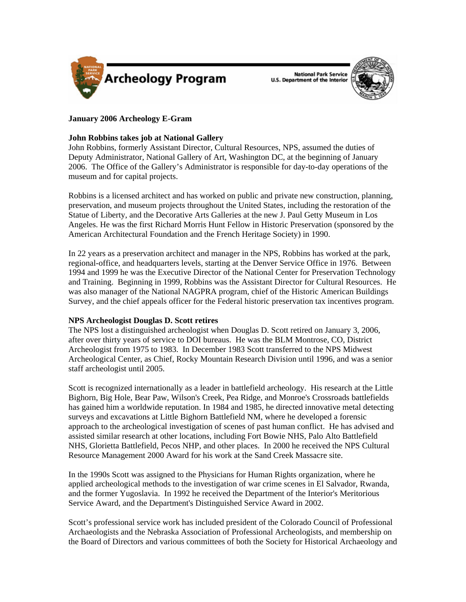

National Park Service<br>U.S. Department of the Interior



# **January 2006 Archeology E-Gram**

## **John Robbins takes job at National Gallery**

John Robbins, formerly Assistant Director, Cultural Resources, NPS, assumed the duties of Deputy Administrator, National Gallery of Art, Washington DC, at the beginning of January 2006. The Office of the Gallery's Administrator is responsible for day-to-day operations of the museum and for capital projects.

Robbins is a licensed architect and has worked on public and private new construction, planning, preservation, and museum projects throughout the United States, including the restoration of the Statue of Liberty, and the Decorative Arts Galleries at the new J. Paul Getty Museum in Los Angeles. He was the first Richard Morris Hunt Fellow in Historic Preservation (sponsored by the American Architectural Foundation and the French Heritage Society) in 1990.

In 22 years as a preservation architect and manager in the NPS, Robbins has worked at the park, regional-office, and headquarters levels, starting at the Denver Service Office in 1976. Between 1994 and 1999 he was the Executive Director of the National Center for Preservation Technology and Training. Beginning in 1999, Robbins was the Assistant Director for Cultural Resources. He was also manager of the National NAGPRA program, chief of the Historic American Buildings Survey, and the chief appeals officer for the Federal historic preservation tax incentives program.

## **NPS Archeologist Douglas D. Scott retires**

The NPS lost a distinguished archeologist when Douglas D. Scott retired on January 3, 2006, after over thirty years of service to DOI bureaus. He was the BLM Montrose, CO, District Archeologist from 1975 to 1983. In December 1983 Scott transferred to the NPS Midwest Archeological Center, as Chief, Rocky Mountain Research Division until 1996, and was a senior staff archeologist until 2005.

Scott is recognized internationally as a leader in battlefield archeology. His research at the Little Bighorn, Big Hole, Bear Paw, Wilson's Creek, Pea Ridge, and Monroe's Crossroads battlefields has gained him a worldwide reputation. In 1984 and 1985, he directed innovative metal detecting surveys and excavations at Little Bighorn Battlefield NM, where he developed a forensic approach to the archeological investigation of scenes of past human conflict. He has advised and assisted similar research at other locations, including Fort Bowie NHS, Palo Alto Battlefield NHS, Glorietta Battlefield, Pecos NHP, and other places. In 2000 he received the NPS Cultural Resource Management 2000 Award for his work at the Sand Creek Massacre site.

In the 1990s Scott was assigned to the Physicians for Human Rights organization, where he applied archeological methods to the investigation of war crime scenes in El Salvador, Rwanda, and the former Yugoslavia. In 1992 he received the Department of the Interior's Meritorious Service Award, and the Department's Distinguished Service Award in 2002.

Scott's professional service work has included president of the Colorado Council of Professional Archaeologists and the Nebraska Association of Professional Archeologists, and membership on the Board of Directors and various committees of both the Society for Historical Archaeology and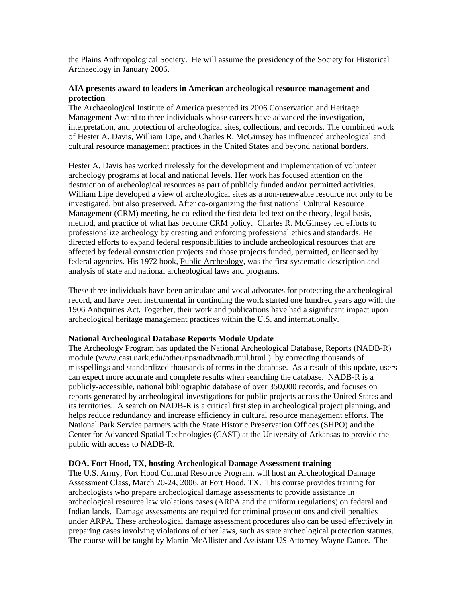the Plains Anthropological Society. He will assume the presidency of the Society for Historical Archaeology in January 2006.

### **AIA presents award to leaders in American archeological resource management and protection**

The Archaeological Institute of America presented its 2006 Conservation and Heritage Management Award to three individuals whose careers have advanced the investigation, interpretation, and protection of archeological sites, collections, and records. The combined work of Hester A. Davis, William Lipe, and Charles R. McGimsey has influenced archeological and cultural resource management practices in the United States and beyond national borders.

Hester A. Davis has worked tirelessly for the development and implementation of volunteer archeology programs at local and national levels. Her work has focused attention on the destruction of archeological resources as part of publicly funded and/or permitted activities. William Lipe developed a view of archeological sites as a non-renewable resource not only to be investigated, but also preserved. After co-organizing the first national Cultural Resource Management (CRM) meeting, he co-edited the first detailed text on the theory, legal basis, method, and practice of what has become CRM policy. Charles R. McGimsey led efforts to professionalize archeology by creating and enforcing professional ethics and standards. He directed efforts to expand federal responsibilities to include archeological resources that are affected by federal construction projects and those projects funded, permitted, or licensed by federal agencies. His 1972 book, Public Archeology, was the first systematic description and analysis of state and national archeological laws and programs.

These three individuals have been articulate and vocal advocates for protecting the archeological record, and have been instrumental in continuing the work started one hundred years ago with the 1906 Antiquities Act. Together, their work and publications have had a significant impact upon archeological heritage management practices within the U.S. and internationally.

### **National Archeological Database Reports Module Update**

The Archeology Program has updated the National Archeological Database, Reports (NADB-R) module (www.cast.uark.edu/other/nps/nadb/nadb.mul.html.) by correcting thousands of misspellings and standardized thousands of terms in the database. As a result of this update, users can expect more accurate and complete results when searching the database. NADB-R is a publicly-accessible, national bibliographic database of over 350,000 records, and focuses on reports generated by archeological investigations for public projects across the United States and its territories. A search on NADB-R is a critical first step in archeological project planning, and helps reduce redundancy and increase efficiency in cultural resource management efforts. The National Park Service partners with the State Historic Preservation Offices (SHPO) and the Center for Advanced Spatial Technologies (CAST) at the University of Arkansas to provide the public with access to NADB-R.

### **DOA, Fort Hood, TX, hosting Archeological Damage Assessment training**

The U.S. Army, Fort Hood Cultural Resource Program, will host an Archeological Damage Assessment Class, March 20-24, 2006, at Fort Hood, TX. This course provides training for archeologists who prepare archeological damage assessments to provide assistance in archeological resource law violations cases (ARPA and the uniform regulations) on federal and Indian lands. Damage assessments are required for criminal prosecutions and civil penalties under ARPA. These archeological damage assessment procedures also can be used effectively in preparing cases involving violations of other laws, such as state archeological protection statutes. The course will be taught by Martin McAllister and Assistant US Attorney Wayne Dance. The